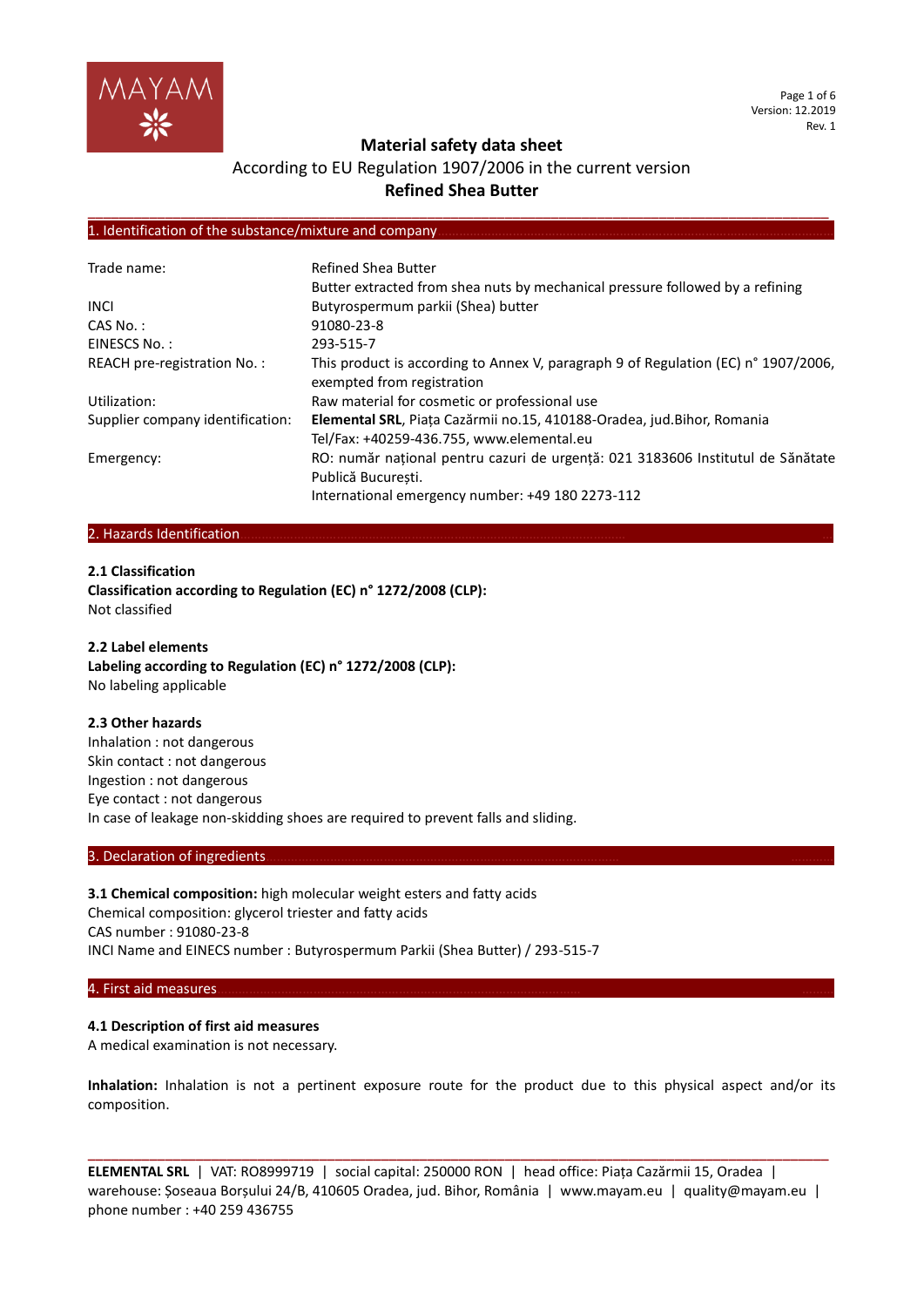

Page 1 of 6 Version: 12.2019 Rev. 1

## **Material safety data sheet**

## According to EU Regulation 1907/2006 in the current version **Refined Shea Butter**

**\_\_\_\_\_\_\_\_\_\_\_\_\_\_\_\_\_\_\_\_\_\_\_\_\_\_\_\_\_\_\_\_\_\_\_\_\_\_\_\_\_\_\_\_\_\_\_\_\_\_\_\_\_\_\_\_\_\_\_\_\_\_\_\_\_\_\_\_\_\_\_\_\_\_\_\_\_\_\_\_\_\_\_\_\_\_\_\_\_\_\_\_\_\_\_\_**

### 1. Identification of the substance/mixture and company

| Trade name:                      | <b>Refined Shea Butter</b>                                                                                       |
|----------------------------------|------------------------------------------------------------------------------------------------------------------|
|                                  | Butter extracted from shea nuts by mechanical pressure followed by a refining                                    |
| <b>INCL</b>                      | Butyrospermum parkii (Shea) butter                                                                               |
| $CAS No.$ :                      | 91080-23-8                                                                                                       |
| EINESCS No.:                     | 293-515-7                                                                                                        |
| REACH pre-registration No.:      | This product is according to Annex V, paragraph 9 of Regulation (EC) n° 1907/2006,<br>exempted from registration |
| Utilization:                     | Raw material for cosmetic or professional use                                                                    |
| Supplier company identification: | Elemental SRL, Piața Cazărmii no.15, 410188-Oradea, jud.Bihor, Romania                                           |
|                                  | Tel/Fax: +40259-436.755, www.elemental.eu                                                                        |
| Emergency:                       | RO: număr național pentru cazuri de urgență: 021 3183606 Institutul de Sănătate                                  |
|                                  | Publică Bucuresti.                                                                                               |
|                                  | International emergency number: +49 180 2273-112                                                                 |

### 2. Hazards Identification

**2.1 Classification**

**Classification according to Regulation (EC) n° 1272/2008 (CLP):** Not classified

### **2.2 Label elements Labeling according to Regulation (EC) n° 1272/2008 (CLP):** No labeling applicable

#### **2.3 Other hazards**

Inhalation : not dangerous Skin contact : not dangerous Ingestion : not dangerous Eye contact : not dangerous In case of leakage non-skidding shoes are required to prevent falls and sliding.

#### 3. Declaration of ingredients.

**3.1 Chemical composition:** high molecular weight esters and fatty acids Chemical composition: glycerol triester and fatty acids CAS number : 91080-23-8 INCI Name and EINECS number : Butyrospermum Parkii (Shea Butter) / 293-515-7

#### 4. First aid measures………………………………………………………………………………………… ………

### **4.1 Description of first aid measures**

A medical examination is not necessary.

**Inhalation:** Inhalation is not a pertinent exposure route for the product due to this physical aspect and/or its composition.

**ELEMENTAL SRL** | VAT: RO8999719 | social capital: 250000 RON | head office: Piața Cazărmii 15, Oradea | warehouse: Șoseaua Borșului 24/B, 410605 Oradea, jud. Bihor, România | www.mayam.eu | quality@mayam.eu | phone number : +40 259 436755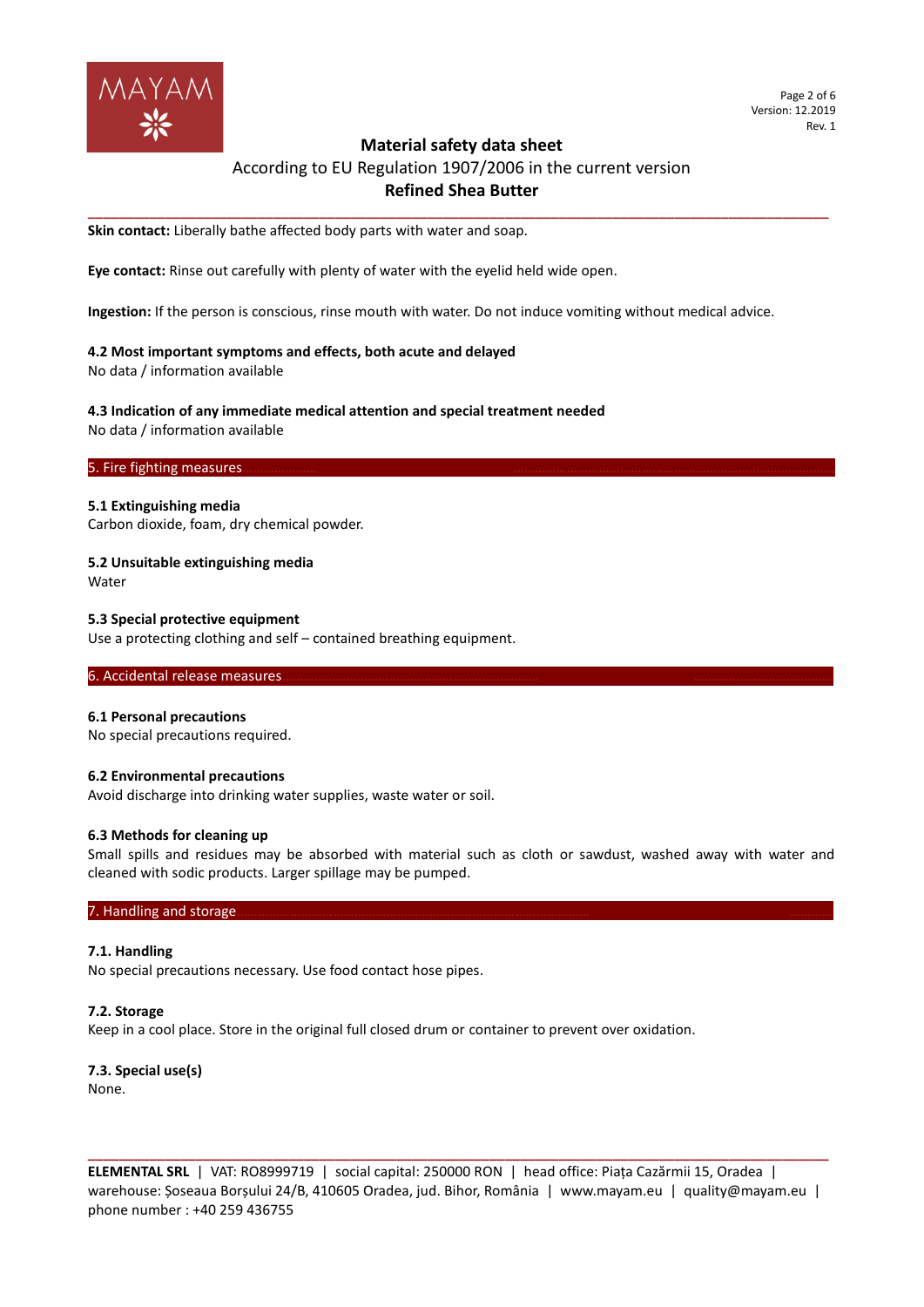

#### Page 2 of 6 Version: 12.2019 Rev. 1

## **Material safety data sheet**

## According to EU Regulation 1907/2006 in the current version **Refined Shea Butter**

**\_\_\_\_\_\_\_\_\_\_\_\_\_\_\_\_\_\_\_\_\_\_\_\_\_\_\_\_\_\_\_\_\_\_\_\_\_\_\_\_\_\_\_\_\_\_\_\_\_\_\_\_\_\_\_\_\_\_\_\_\_\_\_\_\_\_\_\_\_\_\_\_\_\_\_\_\_\_\_\_\_\_\_\_\_\_\_\_\_\_\_\_\_\_\_\_**

**Skin contact:** Liberally bathe affected body parts with water and soap.

**Eye contact:** Rinse out carefully with plenty of water with the eyelid held wide open.

**Ingestion:** If the person is conscious, rinse mouth with water. Do not induce vomiting without medical advice.

#### **4.2 Most important symptoms and effects, both acute and delayed**

No data / information available

#### **4.3 Indication of any immediate medical attention and special treatment needed**

No data / information available

### 5. Fire fighting measures.

#### **5.1 Extinguishing media**

Carbon dioxide, foam, dry chemical powder.

## **5.2 Unsuitable extinguishing media**

Water

### **5.3 Special protective equipment**

Use a protecting clothing and self – contained breathing equipment.

### 6. Accidental release measures.

#### **6.1 Personal precautions**

No special precautions required.

#### **6.2 Environmental precautions**

Avoid discharge into drinking water supplies, waste water or soil.

#### **6.3 Methods for cleaning up**

Small spills and residues may be absorbed with material such as cloth or sawdust, washed away with water and cleaned with sodic products. Larger spillage may be pumped.

### 7. Handling and storage.

#### **7.1. Handling**

No special precautions necessary. Use food contact hose pipes.

#### **7.2. Storage**

Keep in a cool place. Store in the original full closed drum or container to prevent over oxidation.

### **7.3. Special use(s)** None.

**ELEMENTAL SRL** | VAT: RO8999719 | social capital: 250000 RON | head office: Piața Cazărmii 15, Oradea | warehouse: Șoseaua Borșului 24/B, 410605 Oradea, jud. Bihor, România | www.mayam.eu | quality@mayam.eu | phone number : +40 259 436755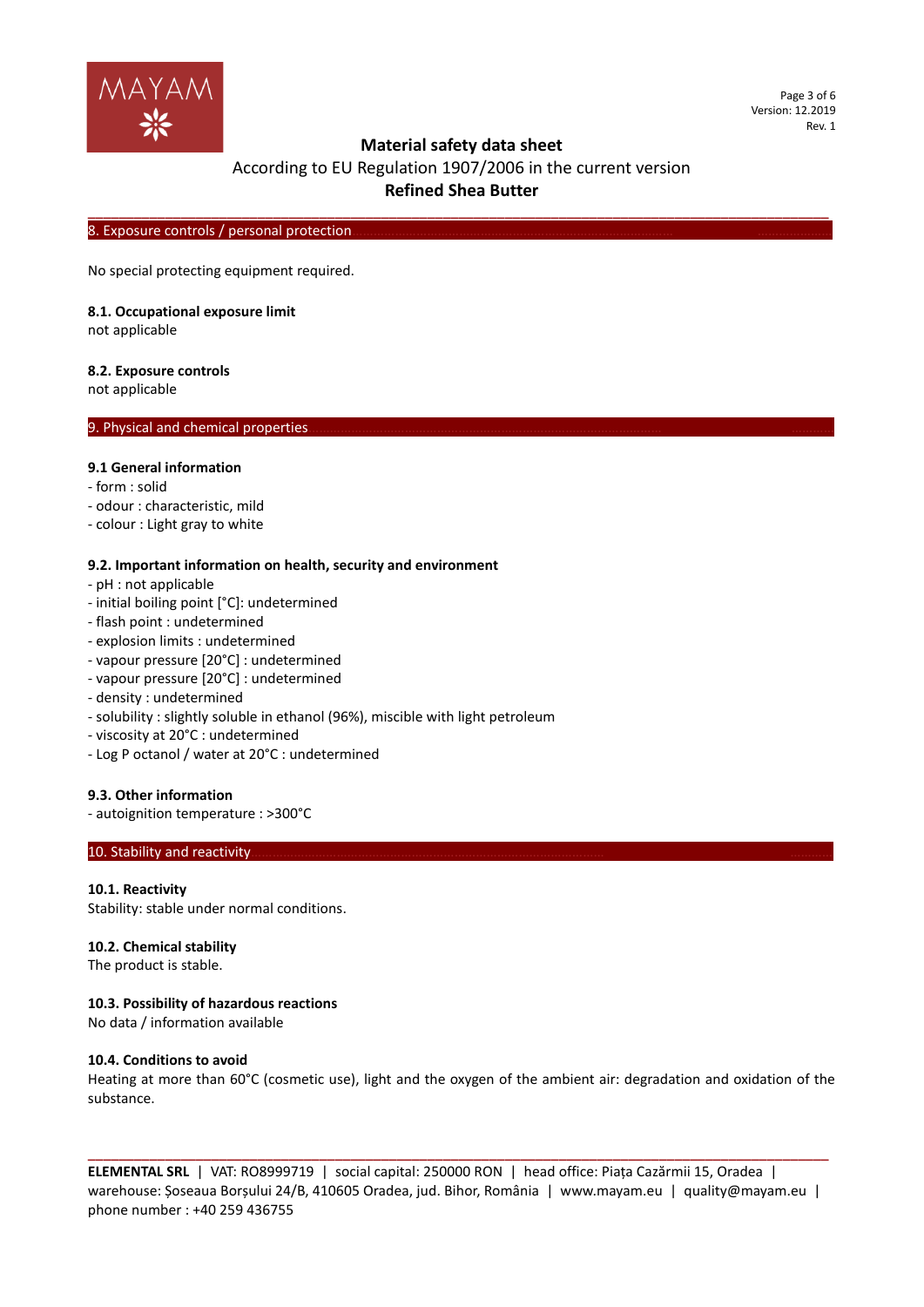

Page 3 of 6 Version: 12.2019 Rev. 1

## **Material safety data sheet**

## According to EU Regulation 1907/2006 in the current version **Refined Shea Butter**

**\_\_\_\_\_\_\_\_\_\_\_\_\_\_\_\_\_\_\_\_\_\_\_\_\_\_\_\_\_\_\_\_\_\_\_\_\_\_\_\_\_\_\_\_\_\_\_\_\_\_\_\_\_\_\_\_\_\_\_\_\_\_\_\_\_\_\_\_\_\_\_\_\_\_\_\_\_\_\_\_\_\_\_\_\_\_\_\_\_\_\_\_\_\_\_\_**

8. Exposure controls / personal protection.

No special protecting equipment required.

#### **8.1. Occupational exposure limit**

not applicable

#### **8.2. Exposure controls**

not applicable

### 9. Physical and chemical properties

## **9.1 General information**

- form : solid
- odour : characteristic, mild
- colour : Light gray to white

### **9.2. Important information on health, security and environment**

- pH : not applicable
- initial boiling point [°C]: undetermined
- flash point : undetermined
- explosion limits : undetermined
- vapour pressure [20°C] : undetermined
- vapour pressure [20°C] : undetermined
- density : undetermined
- solubility : slightly soluble in ethanol (96%), miscible with light petroleum
- viscosity at 20°C : undetermined
- Log P octanol / water at 20°C : undetermined

### **9.3. Other information**

- autoignition temperature : >300°C

#### 10. Stability and reactivity

### **10.1. Reactivity**

Stability: stable under normal conditions.

#### **10.2. Chemical stability**

The product is stable.

### **10.3. Possibility of hazardous reactions**

No data / information available

### **10.4. Conditions to avoid**

Heating at more than 60°C (cosmetic use), light and the oxygen of the ambient air: degradation and oxidation of the substance.

**ELEMENTAL SRL** | VAT: RO8999719 | social capital: 250000 RON | head office: Piața Cazărmii 15, Oradea | warehouse: Șoseaua Borșului 24/B, 410605 Oradea, jud. Bihor, România | www.mayam.eu | quality@mayam.eu | phone number : +40 259 436755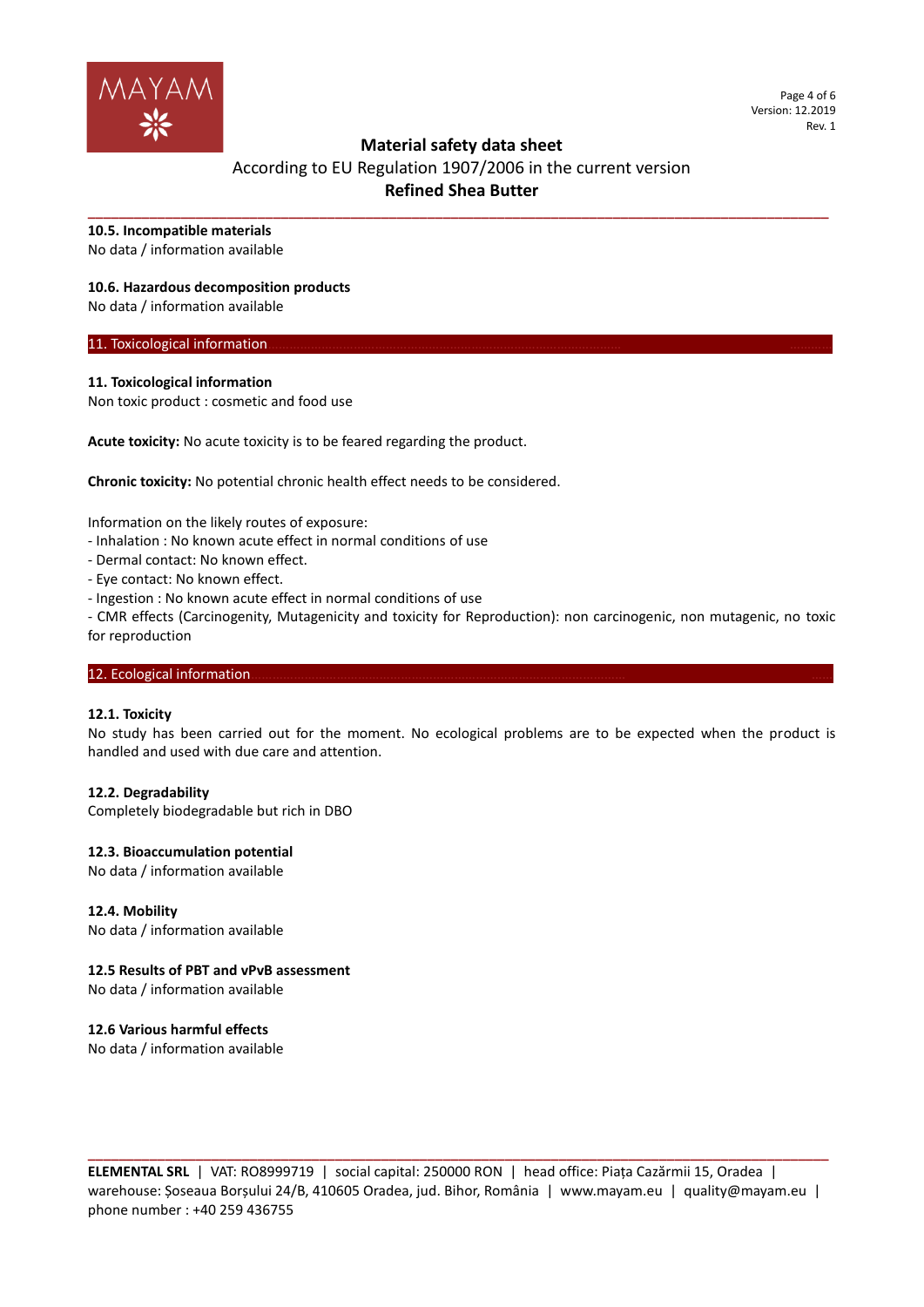

Page 4 of 6 Version: 12.2019 Rev. 1

## **Material safety data sheet**

# According to EU Regulation 1907/2006 in the current version **Refined Shea Butter**

**\_\_\_\_\_\_\_\_\_\_\_\_\_\_\_\_\_\_\_\_\_\_\_\_\_\_\_\_\_\_\_\_\_\_\_\_\_\_\_\_\_\_\_\_\_\_\_\_\_\_\_\_\_\_\_\_\_\_\_\_\_\_\_\_\_\_\_\_\_\_\_\_\_\_\_\_\_\_\_\_\_\_\_\_\_\_\_\_\_\_\_\_\_\_\_\_**

### **10.5. Incompatible materials**

No data / information available

### **10.6. Hazardous decomposition products**

No data / information available

### 11. Toxicological information.

### **11. Toxicological information**

Non toxic product : cosmetic and food use

**Acute toxicity:** No acute toxicity is to be feared regarding the product.

**Chronic toxicity:** No potential chronic health effect needs to be considered.

Information on the likely routes of exposure:

- Inhalation : No known acute effect in normal conditions of use
- Dermal contact: No known effect.
- Eye contact: No known effect.
- Ingestion : No known acute effect in normal conditions of use

- CMR effects (Carcinogenity, Mutagenicity and toxicity for Reproduction): non carcinogenic, non mutagenic, no toxic for reproduction

### 12. Ecological information.

### **12.1. Toxicity**

No study has been carried out for the moment. No ecological problems are to be expected when the product is handled and used with due care and attention.

### **12.2. Degradability**

Completely biodegradable but rich in DBO

### **12.3. Bioaccumulation potential**

No data / information available

### **12.4. Mobility**

No data / information available

### **12.5 Results of PBT and vPvB assessment**

No data / information available

### **12.6 Various harmful effects**

No data / information available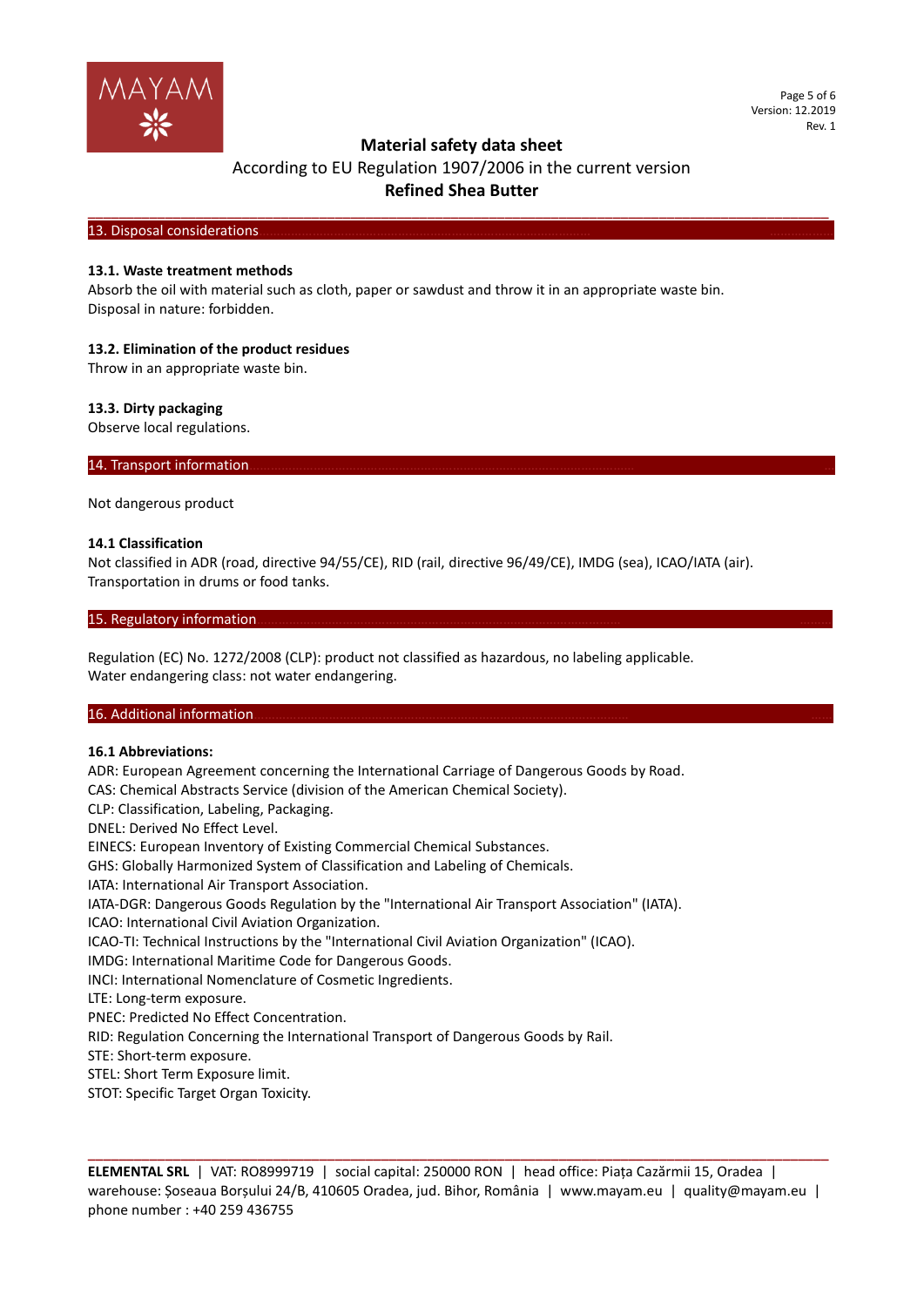

Page 5 of 6 Version: 12.2019 Rev. 1

## **Material safety data sheet**

According to EU Regulation 1907/2006 in the current version **Refined Shea Butter**

**\_\_\_\_\_\_\_\_\_\_\_\_\_\_\_\_\_\_\_\_\_\_\_\_\_\_\_\_\_\_\_\_\_\_\_\_\_\_\_\_\_\_\_\_\_\_\_\_\_\_\_\_\_\_\_\_\_\_\_\_\_\_\_\_\_\_\_\_\_\_\_\_\_\_\_\_\_\_\_\_\_\_\_\_\_\_\_\_\_\_\_\_\_\_\_\_**

13. Disposal considerations

### **13.1. Waste treatment methods**

Absorb the oil with material such as cloth, paper or sawdust and throw it in an appropriate waste bin. Disposal in nature: forbidden.

### **13.2. Elimination of the product residues**

Throw in an appropriate waste bin.

### **13.3. Dirty packaging**

Observe local regulations.

14. Transport information.

Not dangerous product

### **14.1 Classification**

Not classified in ADR (road, directive 94/55/CE), RID (rail, directive 96/49/CE), IMDG (sea), ICAO/IATA (air). Transportation in drums or food tanks.

### 15. Regulatory information.

Regulation (EC) No. 1272/2008 (CLP): product not classified as hazardous, no labeling applicable. Water endangering class: not water endangering.

### 16. Additional information

### **16.1 Abbreviations:**

ADR: European Agreement concerning the International Carriage of Dangerous Goods by Road. CAS: Chemical Abstracts Service (division of the American Chemical Society). CLP: Classification, Labeling, Packaging. DNEL: Derived No Effect Level. EINECS: European Inventory of Existing Commercial Chemical Substances. GHS: Globally Harmonized System of Classification and Labeling of Chemicals. IATA: International Air Transport Association. IATA-DGR: Dangerous Goods Regulation by the "International Air Transport Association" (IATA). ICAO: International Civil Aviation Organization. ICAO-TI: Technical Instructions by the "International Civil Aviation Organization" (ICAO). IMDG: International Maritime Code for Dangerous Goods. INCI: International Nomenclature of Cosmetic Ingredients. LTE: Long-term exposure. PNEC: Predicted No Effect Concentration. RID: Regulation Concerning the International Transport of Dangerous Goods by Rail. STE: Short-term exposure. STEL: Short Term Exposure limit. STOT: Specific Target Organ Toxicity.

**ELEMENTAL SRL** | VAT: RO8999719 | social capital: 250000 RON | head office: Piața Cazărmii 15, Oradea | warehouse: Șoseaua Borșului 24/B, 410605 Oradea, jud. Bihor, România | www.mayam.eu | quality@mayam.eu | phone number : +40 259 436755